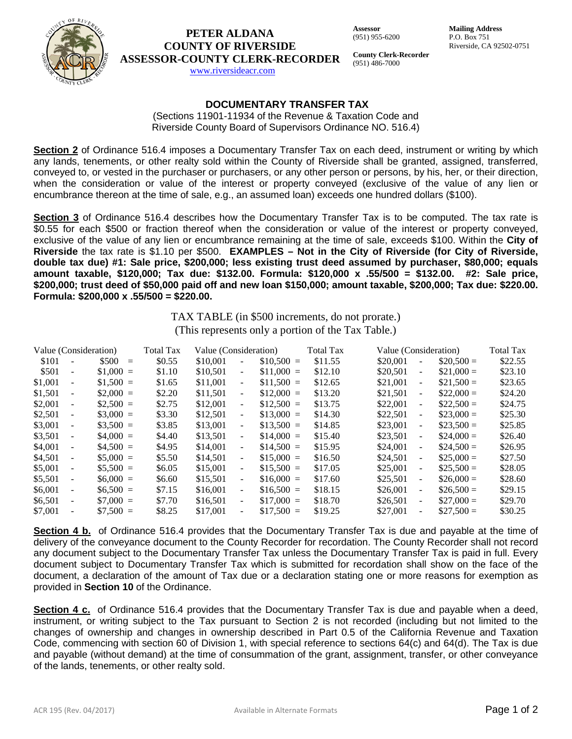

# **PETER ALDANA COUNTY OF RIVERSIDE ASSESSOR-COUNTY CLERK-RECORDER**

**Assessor** (951) 955-6200 **Mailing Address** P.O. Box 751 Riverside, CA 92502-0751

[www.riversideacr.com](http://www.riversideacr.com/)

**County Clerk-Recorder** (951) 486-7000

# **DOCUMENTARY TRANSFER TAX**

(Sections 11901-11934 of the Revenue & Taxation Code and Riverside County Board of Supervisors Ordinance NO. 516.4)

**Section 2** of Ordinance 516.4 imposes a Documentary Transfer Tax on each deed, instrument or writing by which any lands, tenements, or other realty sold within the County of Riverside shall be granted, assigned, transferred, conveyed to, or vested in the purchaser or purchasers, or any other person or persons, by his, her, or their direction, when the consideration or value of the interest or property conveyed (exclusive of the value of any lien or encumbrance thereon at the time of sale, e.g., an assumed loan) exceeds one hundred dollars (\$100).

**Section 3** of Ordinance 516.4 describes how the Documentary Transfer Tax is to be computed. The tax rate is \$0.55 for each \$500 or fraction thereof when the consideration or value of the interest or property conveyed, exclusive of the value of any lien or encumbrance remaining at the time of sale, exceeds \$100. Within the **City of Riverside** the tax rate is \$1.10 per \$500. **EXAMPLES – Not in the City of Riverside (for City of Riverside, double tax due) #1: Sale price, \$200,000; less existing trust deed assumed by purchaser, \$80,000; equals amount taxable, \$120,000; Tax due: \$132.00. Formula: \$120,000 x .55/500 = \$132.00. #2: Sale price, \$200,000; trust deed of \$50,000 paid off and new loan \$150,000; amount taxable, \$200,000; Tax due: \$220.00. Formula: \$200,000 x .55/500 = \$220.00.**

> TAX TABLE (in \$500 increments, do not prorate.) (This represents only a portion of the Tax Table.)

| Value (Consideration) |                          |             | <b>Total Tax</b> | Value (Consideration) |                          |             | <b>Total Tax</b> | Value (Consideration) |                          |              | <b>Total Tax</b> |
|-----------------------|--------------------------|-------------|------------------|-----------------------|--------------------------|-------------|------------------|-----------------------|--------------------------|--------------|------------------|
| \$101                 | $\overline{\phantom{a}}$ | $$500 =$    | \$0.55           | \$10,001              | $\overline{\phantom{a}}$ | $$10,500 =$ | \$11.55          | \$20,001              | $\overline{\phantom{0}}$ | $\$20.500 =$ | \$22.55          |
| \$501                 | $\overline{\phantom{a}}$ | $$1,000 =$  | \$1.10           | \$10.501              | $\blacksquare$           | $$11.000 =$ | \$12.10          | \$20,501              | $\blacksquare$           | $\$21.000 =$ | \$23.10          |
| \$1,001               | $\overline{\phantom{a}}$ | $$1,500 =$  | \$1.65           | \$11,001              | $\blacksquare$           | $$11,500 =$ | \$12.65          | \$21,001              | $\equiv$                 | $$21,500 =$  | \$23.65          |
| \$1,501               | $\overline{\phantom{0}}$ | $$2.000 =$  | \$2.20           | \$11.501              | $\blacksquare$           | $$12,000 =$ | \$13.20          | \$21,501              | $\overline{\phantom{a}}$ | $$22.000 =$  | \$24.20          |
| \$2,001               | $\overline{\phantom{a}}$ | $$2,500 =$  | \$2.75           | \$12,001              | $\blacksquare$           | $$12,500 =$ | \$13.75          | \$22,001              | $\overline{\phantom{a}}$ | $$22,500 =$  | \$24.75          |
| \$2,501               | $\overline{\phantom{a}}$ | $$3,000 =$  | \$3.30           | \$12.501              | $\sim$                   | $$13,000 =$ | \$14.30          | \$22,501              | $\blacksquare$           | $\$23.000 =$ | \$25.30          |
| \$3,001               | $\overline{\phantom{a}}$ | $\$3.500 =$ | \$3.85           | \$13,001              | $\blacksquare$           | $$13.500 =$ | \$14.85          | \$23,001              | $\overline{\phantom{a}}$ | $\$23.500 =$ | \$25.85          |
| \$3,501               | $\overline{\phantom{a}}$ | $$4,000 =$  | \$4.40           | \$13,501              | $\blacksquare$           | $$14,000 =$ | \$15.40          | \$23,501              | $\overline{\phantom{a}}$ | $$24,000 =$  | \$26.40          |
| \$4,001               | $\overline{\phantom{a}}$ | $$4.500 =$  | \$4.95           | \$14,001              | $\blacksquare$           | $$14.500 =$ | \$15.95          | \$24,001              | $\overline{\phantom{a}}$ | $\$24.500 =$ | \$26.95          |
| \$4.501               | $\blacksquare$           | $$5.000 =$  | \$5.50           | \$14.501              | $\blacksquare$           | $$15,000 =$ | \$16.50          | \$24.501              | $\blacksquare$           | $\$25.000 =$ | \$27.50          |
| \$5,001               | $\overline{\phantom{a}}$ | $$5.500 =$  | \$6.05           | \$15,001              | $\blacksquare$           | $$15,500 =$ | \$17.05          | \$25,001              | $\blacksquare$           | $\$25,500 =$ | \$28.05          |
| \$5,501               | $\overline{\phantom{a}}$ | $$6,000 =$  | \$6.60           | \$15,501              | $\blacksquare$           | $$16,000 =$ | \$17.60          | \$25,501              | $\blacksquare$           | $\$26,000 =$ | \$28.60          |
| \$6,001               |                          | $$6.500 =$  | \$7.15           | \$16,001              | $\blacksquare$           | $$16,500 =$ | \$18.15          | \$26,001              | $\overline{a}$           | $\$26,500 =$ | \$29.15          |
| \$6,501               | $\overline{\phantom{a}}$ | $$7.000 =$  | \$7.70           | \$16,501              | $\blacksquare$           | $$17,000 =$ | \$18.70          | \$26,501              | $\equiv$                 | $\$27.000 =$ | \$29.70          |
| \$7,001               | $\overline{a}$           | $$7.500 =$  | \$8.25           | \$17,001              | $\blacksquare$           | $$17,500 =$ | \$19.25          | \$27,001              | $\overline{\phantom{a}}$ | $\$27.500 =$ | \$30.25          |

**Section 4 b.** of Ordinance 516.4 provides that the Documentary Transfer Tax is due and payable at the time of delivery of the conveyance document to the County Recorder for recordation. The County Recorder shall not record any document subject to the Documentary Transfer Tax unless the Documentary Transfer Tax is paid in full. Every document subject to Documentary Transfer Tax which is submitted for recordation shall show on the face of the document, a declaration of the amount of Tax due or a declaration stating one or more reasons for exemption as provided in **Section 10** of the Ordinance.

**Section 4 c.** of Ordinance 516.4 provides that the Documentary Transfer Tax is due and payable when a deed, instrument, or writing subject to the Tax pursuant to Section 2 is not recorded (including but not limited to the changes of ownership and changes in ownership described in Part 0.5 of the California Revenue and Taxation Code, commencing with section 60 of Division 1, with special reference to sections 64(c) and 64(d). The Tax is due and payable (without demand) at the time of consummation of the grant, assignment, transfer, or other conveyance of the lands, tenements, or other realty sold.